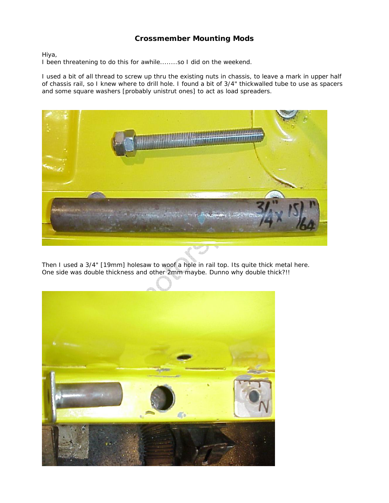## **Crossmember Mounting Mods**

Hiya,

I been threatening to do this for awhile........so I did on the weekend.

I used a bit of all thread to screw up thru the existing nuts in chassis, to leave a mark in upper half of chassis rail, so I knew where to drill hole. I found a bit of 3/4" thickwalled tube to use as spacers and some square washers [probably unistrut ones] to act as load spreaders.



Then I used a 3/4" [19mm] holesaw to woof a hole in rail top. Its quite thick metal here. One side was double thickness and other 2mm maybe. Dunno why double thick?!!

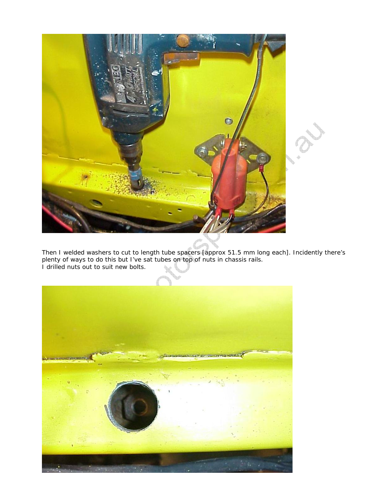

Then I welded washers to cut to length tube spacers [approx 51.5 mm long each]. Incidently there's plenty of ways to do this but I've sat tubes on top of nuts in chassis rails. I drilled nuts out to suit new bolts.

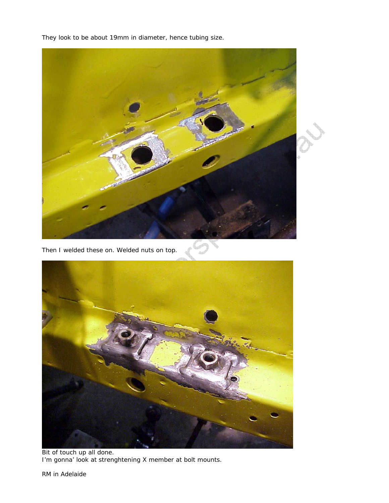They look to be about 19mm in diameter, hence tubing size.



Bit of touch up all done. I'm gonna' look at strenghtening X member at bolt mounts.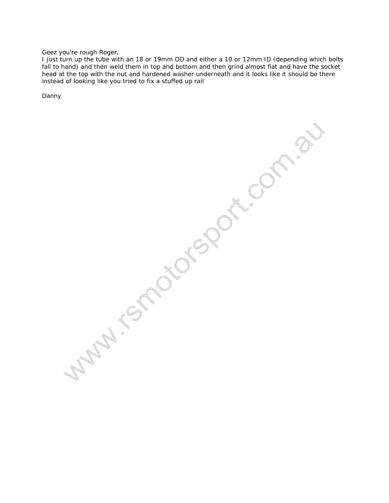Geez you're rough Roger,

I just turn up the tube with an 18 or 19mm OD and either a 10 or 12mm ID (depending which bolts fall to hand) and then weld them in top and bottom and then grind almost flat and have the socket head at the top with the nut and hardened washer underneath and it looks like it should be there instead of looking like you tried to fix a stuffed up rail

Danny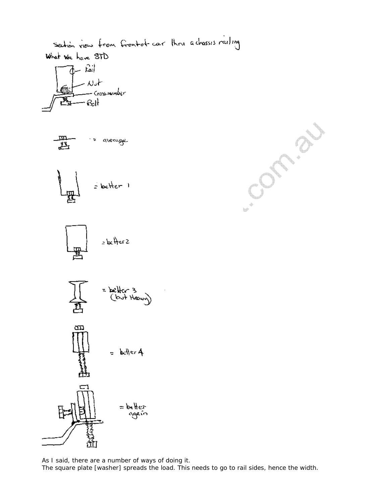

As I said, there are a number of ways of doing it. The square plate [washer] spreads the load. This needs to go to rail sides, hence the width.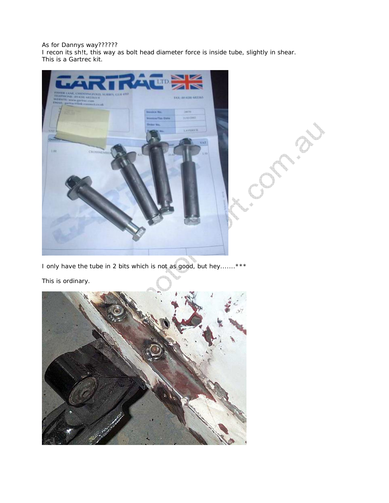## As for Dannys way??????

I recon its sh!t, this way as bolt head diameter force is inside tube, slightly in shear. This is a Gartrec kit.



I only have the tube in 2 bits which is not as good, but hey.......\*\*\*

This is ordinary.